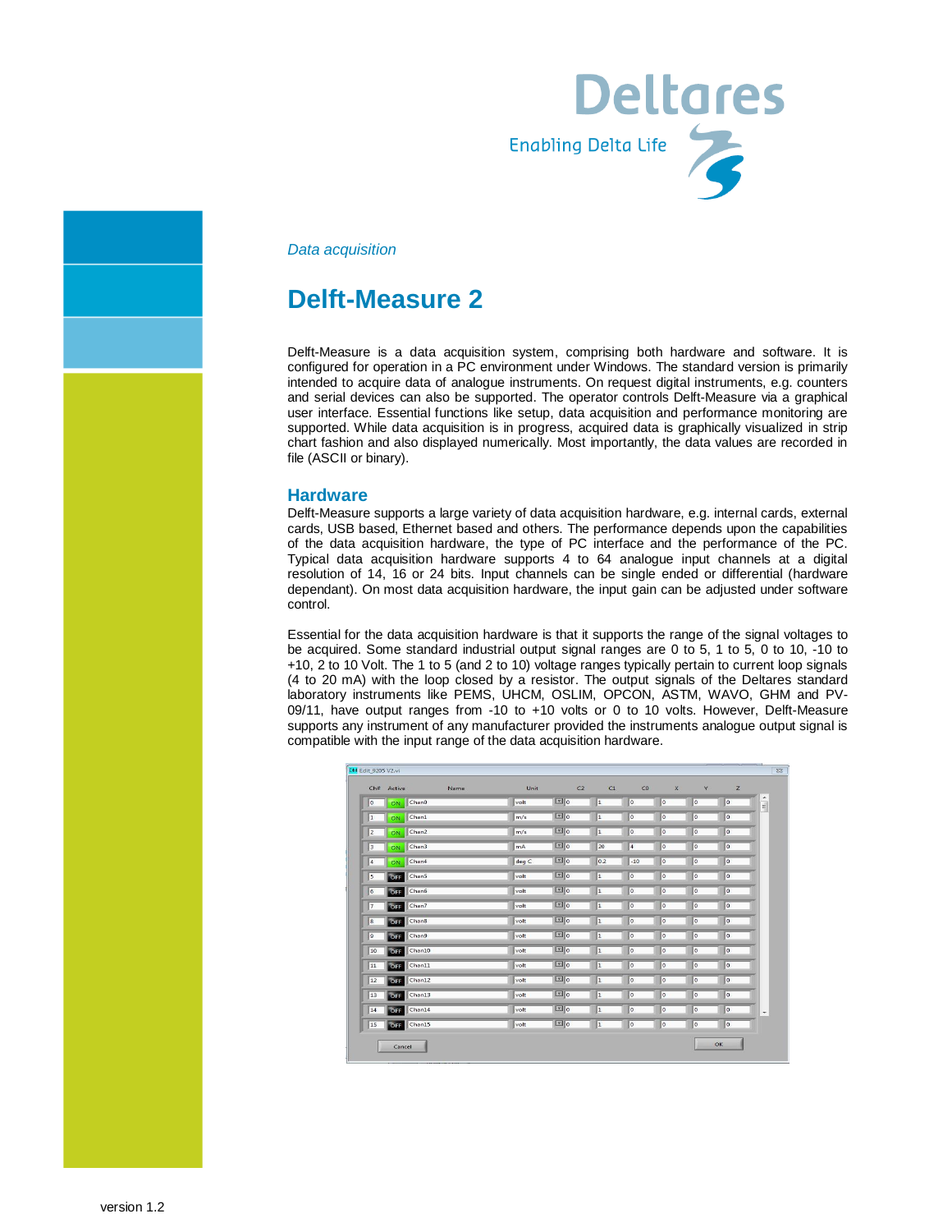

*Data acquisition*

# **Delft-Measure 2**

Delft-Measure is a data acquisition system, comprising both hardware and software. It is configured for operation in a PC environment under Windows. The standard version is primarily intended to acquire data of analogue instruments. On request digital instruments, e.g. counters and serial devices can also be supported. The operator controls Delft-Measure via a graphical user interface. Essential functions like setup, data acquisition and performance monitoring are supported. While data acquisition is in progress, acquired data is graphically visualized in strip chart fashion and also displayed numerically. Most importantly, the data values are recorded in file (ASCII or binary).

#### **Hardware**

Delft-Measure supports a large variety of data acquisition hardware, e.g. internal cards, external cards, USB based, Ethernet based and others. The performance depends upon the capabilities of the data acquisition hardware, the type of PC interface and the performance of the PC. Typical data acquisition hardware supports 4 to 64 analogue input channels at a digital resolution of 14, 16 or 24 bits. Input channels can be single ended or differential (hardware dependant). On most data acquisition hardware, the input gain can be adjusted under software control.

Essential for the data acquisition hardware is that it supports the range of the signal voltages to be acquired. Some standard industrial output signal ranges are 0 to 5, 1 to 5, 0 to 10, -10 to +10, 2 to 10 Volt. The 1 to 5 (and 2 to 10) voltage ranges typically pertain to current loop signals (4 to 20 mA) with the loop closed by a resistor. The output signals of the Deltares standard laboratory instruments like PEMS, UHCM, OSLIM, OPCON, ASTM, WAVO, GHM and PV-09/11, have output ranges from -10 to +10 volts or 0 to 10 volts. However, Delft-Measure supports any instrument of any manufacturer provided the instruments analogue output signal is compatible with the input range of the data acquisition hardware.

| DM Edit_9205 V2.vi      | Ch# Active           | Name | Unit  | C <sub>2</sub>  | C1        | CO             | $\mathsf{x}$            | Y                        | Z                        |                          |
|-------------------------|----------------------|------|-------|-----------------|-----------|----------------|-------------------------|--------------------------|--------------------------|--------------------------|
| $\overline{0}$          | Chan0<br>ON          |      | volt  | $\Box$ o        | $\vert$ 1 | 0              | $\overline{\mathbf{0}}$ | $\overline{\phantom{a}}$ | 0                        | $\frac{1}{\pi}$          |
| $\overline{1}$          | Chan1<br>ON          |      | m/s   | $\boxed{\pm}$ 0 | 1         | o              | $\overline{0}$          | o                        | $\overline{\phantom{a}}$ |                          |
| $\overline{z}$          | Chan2<br>ON          |      | m/s   | $\boxed{2}$ 0   | 1         | $\overline{0}$ | $\overline{0}$          | $\overline{0}$           | 0                        |                          |
| 3                       | Chan3<br>ON          |      | mA    | $F_0$           | 20        | $\sqrt{4}$     | $\overline{0}$          | o                        | $\sqrt{2}$               |                          |
| $\overline{\mathbf{4}}$ | Chan4<br>ON          |      | deg C | $\Box$ o        | 0.2       | $-10$          | $\overline{0}$          | lo                       | $\sqrt{0}$               |                          |
| 5                       | Chan5<br>OFF         |      | volt  | $\Box$ 0        | 1         | O              | $\overline{0}$          | 0                        | 0                        |                          |
| 6                       | OFF<br>Chan6         |      | volt  | $F _0$          | ı         | $\overline{0}$ | $\circ$                 | $\overline{0}$           | $ 0\rangle$              |                          |
| 7                       | OFF<br>Chan7         |      | volt  | $\boxed{10}$    | 1         | $\overline{0}$ | $\mathbf 0$             | 0                        | $\sqrt{2}$               |                          |
| $\overline{\mathbf{8}}$ | OFF<br>Chan8         |      | volt  | $\boxed{\pm}$ 0 | 1         | $\overline{0}$ | o                       | lo                       | $\sqrt{2}$               |                          |
| $\overline{9}$          | OFF<br>Chan9         |      | volt  | $\Box$ o        | 1         | lo.            | $\overline{0}$          | lo                       | $\sqrt{2}$               |                          |
| 10                      | Chan10<br>OFF        |      | volt  | $\Box$ o        | 1         | $\overline{0}$ | $\overline{0}$          | o                        | $\sqrt{2}$               |                          |
| 11                      | Chan11<br>OFF        |      | volt  | $F_0$           | 1         | $\overline{0}$ | $\mathbf{0}$            | o                        | $\boxed{\circ}$          |                          |
| 12                      | Chan12<br>OFF        |      | volt  | $\boxed{2}$     | ı         | $\overline{0}$ | $\overline{0}$          | $\overline{0}$           | 0                        |                          |
| 13                      | Chan13<br>OFF        |      | volt  | $F _0$          | 1         | o              | 0                       | o                        | lo                       |                          |
| 14                      | Chan14<br>OFF        |      | volt  | $\Box$ o        | l1        | $\overline{0}$ | $\overline{0}$          | o                        | $\sqrt{2}$               | $\overline{\phantom{a}}$ |
| 15                      | Chan15<br><b>OFF</b> |      | volt  | $\Box$ o        | $\vert$ 1 | $\overline{0}$ | $\overline{0}$          | lo                       | $\sqrt{2}$               |                          |
|                         | Cancel               |      |       |                 |           |                |                         |                          | OK                       |                          |